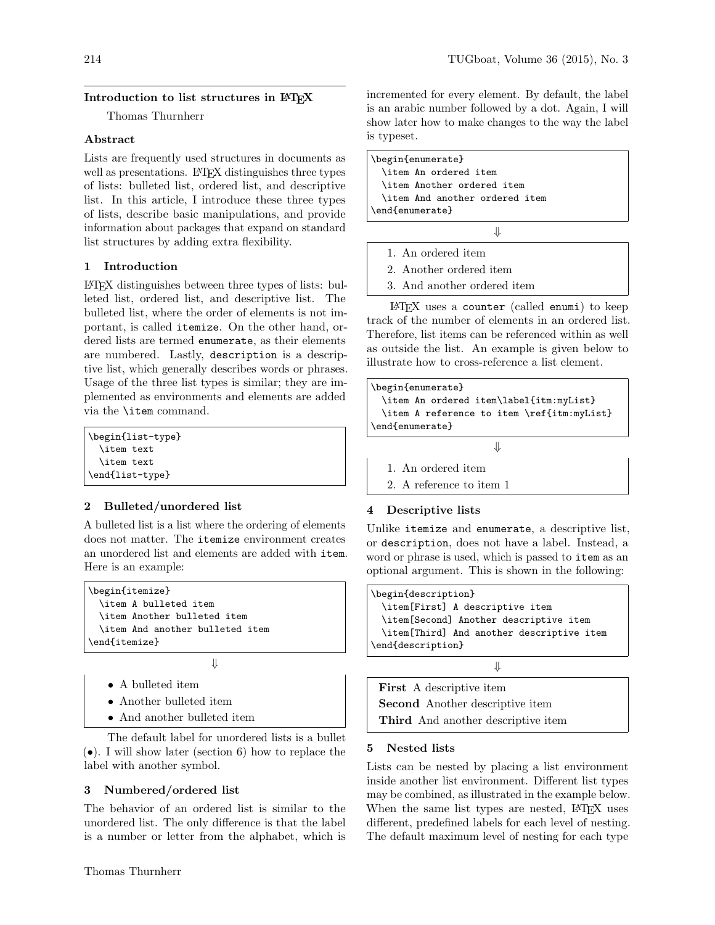# Introduction to list structures in LATEX

Thomas Thurnherr

## Abstract

Lists are frequently used structures in documents as well as presentations. LAT<sub>EX</sub> distinguishes three types of lists: bulleted list, ordered list, and descriptive list. In this article, I introduce these three types of lists, describe basic manipulations, and provide information about packages that expand on standard list structures by adding extra flexibility.

# 1 Introduction

LATEX distinguishes between three types of lists: bulleted list, ordered list, and descriptive list. The bulleted list, where the order of elements is not important, is called itemize. On the other hand, ordered lists are termed enumerate, as their elements are numbered. Lastly, description is a descriptive list, which generally describes words or phrases. Usage of the three list types is similar; they are implemented as environments and elements are added via the \item command.

\begin{list-type} \item text \item text \end{list-type}

# 2 Bulleted/unordered list

A bulleted list is a list where the ordering of elements does not matter. The itemize environment creates an unordered list and elements are added with item. Here is an example:

| \begin{itemize}                 |
|---------------------------------|
| \item A bulleted item           |
| \item Another bulleted item     |
| \item And another bulleted item |
| \end{itemize}                   |
|                                 |

- A bulleted item
- Another bulleted item
- And another bulleted item

The default label for unordered lists is a bullet (•). I will show later (section 6) how to replace the label with another symbol.

⇓

## 3 Numbered/ordered list

The behavior of an ordered list is similar to the unordered list. The only difference is that the label is a number or letter from the alphabet, which is

incremented for every element. By default, the label is an arabic number followed by a dot. Again, I will show later how to make changes to the way the label is typeset.

\begin{enumerate} \item An ordered item \item Another ordered item \item And another ordered item \end{enumerate}

⇓

- 1. An ordered item
- 2. Another ordered item
- 3. And another ordered item

LATEX uses a counter (called enumi) to keep track of the number of elements in an ordered list. Therefore, list items can be referenced within as well as outside the list. An example is given below to illustrate how to cross-reference a list element.

```
\begin{enumerate}
  \item An ordered item\label{itm:myList}
  \item A reference to item \ref{itm:myList}
\end{enumerate}
                       ⇓
```
1. An ordered item

2. A reference to item 1

# 4 Descriptive lists

Unlike itemize and enumerate, a descriptive list, or description, does not have a label. Instead, a word or phrase is used, which is passed to item as an optional argument. This is shown in the following:

```
\begin{description}
 \item[First] A descriptive item
 \item[Second] Another descriptive item
 \item[Third] And another descriptive item
\end{description}
```
⇓

First A descriptive item Second Another descriptive item Third And another descriptive item

## 5 Nested lists

Lists can be nested by placing a list environment inside another list environment. Different list types may be combined, as illustrated in the example below. When the same list types are nested, L<sup>AT</sup>EX uses different, predefined labels for each level of nesting. The default maximum level of nesting for each type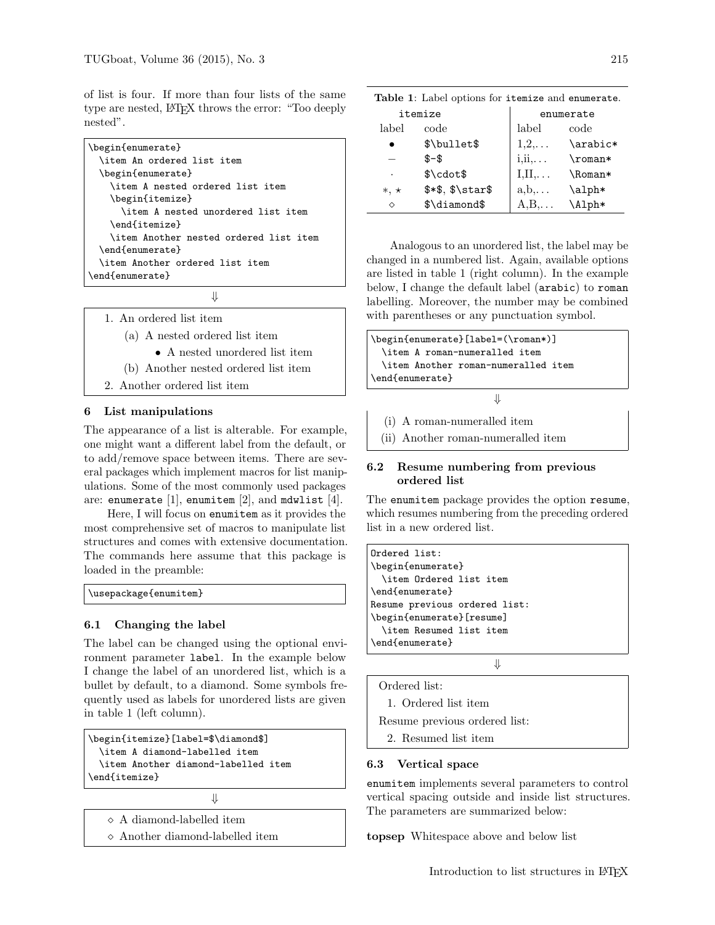of list is four. If more than four lists of the same type are nested, LATEX throws the error: "Too deeply nested".

| \begin{enumerate}                      |
|----------------------------------------|
| \item An ordered list item             |
| \begin{enumerate}                      |
| \item A nested ordered list item       |
| \begin{itemize}                        |
| \item A nested unordered list item     |
| \end{itemize}                          |
| \item Another nested ordered list item |
| \end{enumerate}                        |
| \item Another ordered list item        |
| \end{enumerate}                        |
|                                        |

⇓

- 1. An ordered list item
	- (a) A nested ordered list item
		- A nested unordered list item
	- (b) Another nested ordered list item
- 2. Another ordered list item

## 6 List manipulations

The appearance of a list is alterable. For example, one might want a different label from the default, or to add/remove space between items. There are several packages which implement macros for list manipulations. Some of the most commonly used packages are: enumerate  $[1]$ , enumitem  $[2]$ , and mdwlist  $[4]$ .

Here, I will focus on enumitem as it provides the most comprehensive set of macros to manipulate list structures and comes with extensive documentation. The commands here assume that this package is loaded in the preamble:

| \usepackage{enumitem} |  |
|-----------------------|--|
|-----------------------|--|

#### 6.1 Changing the label

The label can be changed using the optional environment parameter label. In the example below I change the label of an unordered list, which is a bullet by default, to a diamond. Some symbols frequently used as labels for unordered lists are given in table 1 (left column).

```
\begin{itemize}[label=$\diamond$]
  \item A diamond-labelled item
  \item Another diamond-labelled item
\end{itemize}
```

```
⇓
```
- A diamond-labelled item
- Another diamond-labelled item

| Table 1: Label options for itemize and enumerate. |  |  |  |
|---------------------------------------------------|--|--|--|
|                                                   |  |  |  |

|                      | itemize                      |                                            | enumerate |
|----------------------|------------------------------|--------------------------------------------|-----------|
| label                | code                         | label                                      | code      |
|                      | \$\bullet\$                  | $1,2,\ldots$                               | \arabic*  |
|                      | $$ - $$                      | $i$ <sub>i</sub> $i$ <sub>i</sub> $\ldots$ | $\Gamma$  |
| $\ddot{\phantom{0}}$ | $\cdot$                      | $I,II,\ldots$                              | \Roman*   |
| $*,\star$            | <i>\$*\$</i> , $\frac{1}{2}$ | $a, b, \ldots$                             | \alph*    |
| ♦                    | \$\diamond\$                 | A.B                                        | \Alph*    |

Analogous to an unordered list, the label may be changed in a numbered list. Again, available options are listed in table 1 (right column). In the example below, I change the default label (arabic) to roman labelling. Moreover, the number may be combined with parentheses or any punctuation symbol.



- (i) A roman-numeralled item
- (ii) Another roman-numeralled item

## 6.2 Resume numbering from previous ordered list

The enumitem package provides the option resume, which resumes numbering from the preceding ordered list in a new ordered list.

```
Ordered list:
\begin{enumerate}
  \item Ordered list item
\end{enumerate}
Resume previous ordered list:
\begin{enumerate}[resume]
  \item Resumed list item
\end{enumerate}
```
⇓

1. Ordered list item

Ordered list:

Resume previous ordered list:

2. Resumed list item

## 6.3 Vertical space

enumitem implements several parameters to control vertical spacing outside and inside list structures. The parameters are summarized below:

topsep Whitespace above and below list